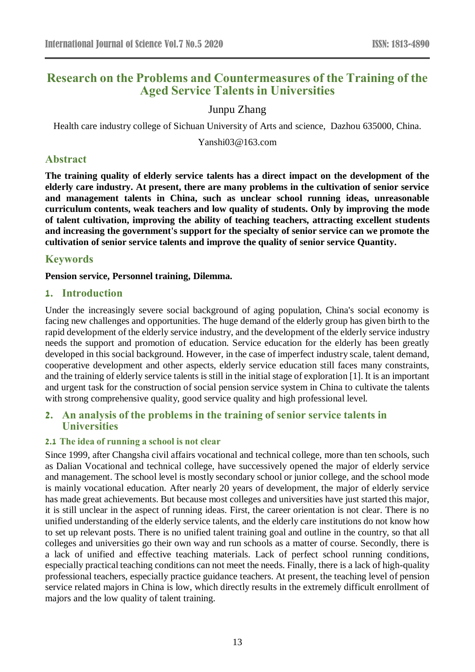# **Research on the Problems and Countermeasures of the Training of the Aged Service Talents in Universities**

## Junpu Zhang

Health care industry college of Sichuan University of Arts and science, Dazhou 635000, China.

Yanshi03@163.com

## **Abstract**

**The training quality of elderly service talents has a direct impact on the development of the elderly care industry. At present, there are many problems in the cultivation of senior service and management talents in China, such as unclear school running ideas, unreasonable curriculum contents, weak teachers and low quality of students. Only by improving the mode of talent cultivation, improving the ability of teaching teachers, attracting excellent students and increasing the government's support for the specialty of senior service can we promote the cultivation of senior service talents and improve the quality of senior service Quantity.**

## **Keywords**

**Pension service, Personnel training, Dilemma.**

#### **1. Introduction**

Under the increasingly severe social background of aging population, China's social economy is facing new challenges and opportunities. The huge demand of the elderly group has given birth to the rapid development of the elderly service industry, and the development of the elderly service industry needs the support and promotion of education. Service education for the elderly has been greatly developed in this social background. However, in the case of imperfect industry scale, talent demand, cooperative development and other aspects, elderly service education still faces many constraints, and the training of elderly service talents is still in the initial stage of exploration [1]. It is an important and urgent task for the construction of social pension service system in China to cultivate the talents with strong comprehensive quality, good service quality and high professional level.

## **2. An analysis of the problems in the training of senior service talents in Universities**

#### **2.1 The idea of running a school is not clear**

Since 1999, after Changsha civil affairs vocational and technical college, more than ten schools, such as Dalian Vocational and technical college, have successively opened the major of elderly service and management. The school level is mostly secondary school or junior college, and the school mode is mainly vocational education. After nearly 20 years of development, the major of elderly service has made great achievements. But because most colleges and universities have just started this major, it is still unclear in the aspect of running ideas. First, the career orientation is not clear. There is no unified understanding of the elderly service talents, and the elderly care institutions do not know how to set up relevant posts. There is no unified talent training goal and outline in the country, so that all colleges and universities go their own way and run schools as a matter of course. Secondly, there is a lack of unified and effective teaching materials. Lack of perfect school running conditions, especially practical teaching conditions can not meet the needs. Finally, there is a lack of high-quality professional teachers, especially practice guidance teachers. At present, the teaching level of pension service related majors in China is low, which directly results in the extremely difficult enrollment of majors and the low quality of talent training.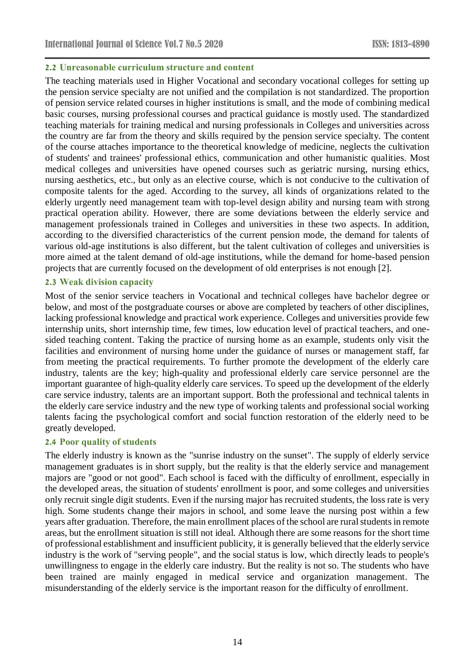#### **2.2 Unreasonable curriculum structure and content**

The teaching materials used in Higher Vocational and secondary vocational colleges for setting up the pension service specialty are not unified and the compilation is not standardized. The proportion of pension service related courses in higher institutions is small, and the mode of combining medical basic courses, nursing professional courses and practical guidance is mostly used. The standardized teaching materials for training medical and nursing professionals in Colleges and universities across the country are far from the theory and skills required by the pension service specialty. The content of the course attaches importance to the theoretical knowledge of medicine, neglects the cultivation of students' and trainees' professional ethics, communication and other humanistic qualities. Most medical colleges and universities have opened courses such as geriatric nursing, nursing ethics, nursing aesthetics, etc., but only as an elective course, which is not conducive to the cultivation of composite talents for the aged. According to the survey, all kinds of organizations related to the elderly urgently need management team with top-level design ability and nursing team with strong practical operation ability. However, there are some deviations between the elderly service and management professionals trained in Colleges and universities in these two aspects. In addition, according to the diversified characteristics of the current pension mode, the demand for talents of various old-age institutions is also different, but the talent cultivation of colleges and universities is more aimed at the talent demand of old-age institutions, while the demand for home-based pension projects that are currently focused on the development of old enterprises is not enough [2].

#### **2.3 Weak division capacity**

Most of the senior service teachers in Vocational and technical colleges have bachelor degree or below, and most of the postgraduate courses or above are completed by teachers of other disciplines, lacking professional knowledge and practical work experience. Colleges and universities provide few internship units, short internship time, few times, low education level of practical teachers, and onesided teaching content. Taking the practice of nursing home as an example, students only visit the facilities and environment of nursing home under the guidance of nurses or management staff, far from meeting the practical requirements. To further promote the development of the elderly care industry, talents are the key; high-quality and professional elderly care service personnel are the important guarantee of high-quality elderly care services. To speed up the development of the elderly care service industry, talents are an important support. Both the professional and technical talents in the elderly care service industry and the new type of working talents and professional social working talents facing the psychological comfort and social function restoration of the elderly need to be greatly developed.

#### **2.4 Poor quality of students**

The elderly industry is known as the "sunrise industry on the sunset". The supply of elderly service management graduates is in short supply, but the reality is that the elderly service and management majors are "good or not good". Each school is faced with the difficulty of enrollment, especially in the developed areas, the situation of students' enrollment is poor, and some colleges and universities only recruit single digit students. Even if the nursing major has recruited students, the loss rate is very high. Some students change their majors in school, and some leave the nursing post within a few years after graduation. Therefore, the main enrollment places of the school are rural students in remote areas, but the enrollment situation is still not ideal. Although there are some reasons for the short time of professional establishment and insufficient publicity, it is generally believed that the elderly service industry is the work of "serving people", and the social status is low, which directly leads to people's unwillingness to engage in the elderly care industry. But the reality is not so. The students who have been trained are mainly engaged in medical service and organization management. The misunderstanding of the elderly service is the important reason for the difficulty of enrollment.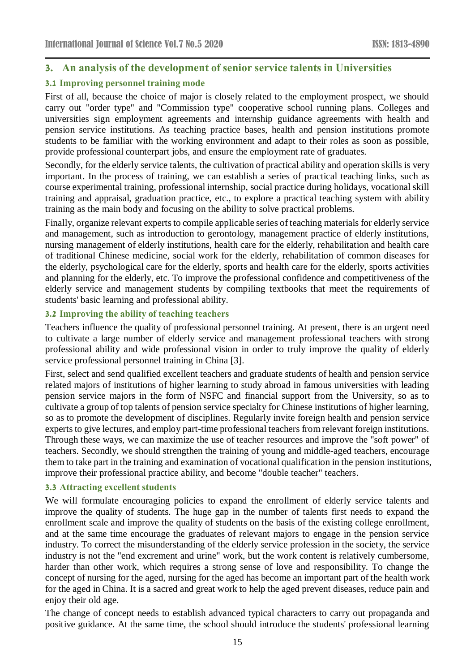## **3. An analysis of the development of senior service talents in Universities**

## **3.1 Improving personnel training mode**

First of all, because the choice of major is closely related to the employment prospect, we should carry out "order type" and "Commission type" cooperative school running plans. Colleges and universities sign employment agreements and internship guidance agreements with health and pension service institutions. As teaching practice bases, health and pension institutions promote students to be familiar with the working environment and adapt to their roles as soon as possible, provide professional counterpart jobs, and ensure the employment rate of graduates.

Secondly, for the elderly service talents, the cultivation of practical ability and operation skills is very important. In the process of training, we can establish a series of practical teaching links, such as course experimental training, professional internship, social practice during holidays, vocational skill training and appraisal, graduation practice, etc., to explore a practical teaching system with ability training as the main body and focusing on the ability to solve practical problems.

Finally, organize relevant experts to compile applicable series of teaching materials for elderly service and management, such as introduction to gerontology, management practice of elderly institutions, nursing management of elderly institutions, health care for the elderly, rehabilitation and health care of traditional Chinese medicine, social work for the elderly, rehabilitation of common diseases for the elderly, psychological care for the elderly, sports and health care for the elderly, sports activities and planning for the elderly, etc. To improve the professional confidence and competitiveness of the elderly service and management students by compiling textbooks that meet the requirements of students' basic learning and professional ability.

## **3.2 Improving the ability of teaching teachers**

Teachers influence the quality of professional personnel training. At present, there is an urgent need to cultivate a large number of elderly service and management professional teachers with strong professional ability and wide professional vision in order to truly improve the quality of elderly service professional personnel training in China [3].

First, select and send qualified excellent teachers and graduate students of health and pension service related majors of institutions of higher learning to study abroad in famous universities with leading pension service majors in the form of NSFC and financial support from the University, so as to cultivate a group of top talents of pension service specialty for Chinese institutions of higher learning, so as to promote the development of disciplines. Regularly invite foreign health and pension service experts to give lectures, and employ part-time professional teachers from relevant foreign institutions. Through these ways, we can maximize the use of teacher resources and improve the "soft power" of teachers. Secondly, we should strengthen the training of young and middle-aged teachers, encourage them to take part in the training and examination of vocational qualification in the pension institutions, improve their professional practice ability, and become "double teacher" teachers.

#### **3.3 Attracting excellent students**

We will formulate encouraging policies to expand the enrollment of elderly service talents and improve the quality of students. The huge gap in the number of talents first needs to expand the enrollment scale and improve the quality of students on the basis of the existing college enrollment, and at the same time encourage the graduates of relevant majors to engage in the pension service industry. To correct the misunderstanding of the elderly service profession in the society, the service industry is not the "end excrement and urine" work, but the work content is relatively cumbersome, harder than other work, which requires a strong sense of love and responsibility. To change the concept of nursing for the aged, nursing for the aged has become an important part of the health work for the aged in China. It is a sacred and great work to help the aged prevent diseases, reduce pain and enjoy their old age.

The change of concept needs to establish advanced typical characters to carry out propaganda and positive guidance. At the same time, the school should introduce the students' professional learning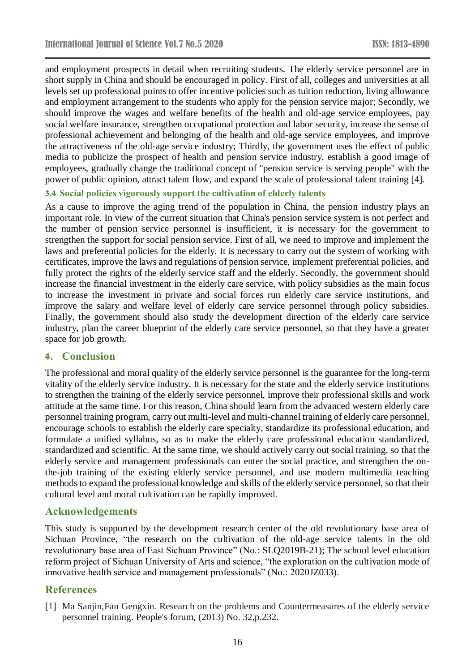and employment prospects in detail when recruiting students. The elderly service personnel are in short supply in China and should be encouraged in policy. First of all, colleges and universities at all levels set up professional points to offer incentive policies such as tuition reduction, living allowance and employment arrangement to the students who apply for the pension service major; Secondly, we should improve the wages and welfare benefits of the health and old-age service employees, pay social welfare insurance, strengthen occupational protection and labor security, increase the sense of professional achievement and belonging of the health and old-age service employees, and improve the attractiveness of the old-age service industry; Thirdly, the government uses the effect of public media to publicize the prospect of health and pension service industry, establish a good image of employees, gradually change the traditional concept of "pension service is serving people" with the power of public opinion, attract talent flow, and expand the scale of professional talent training [4].

## **3.4 Social policies vigorously support the cultivation of elderly talents**

As a cause to improve the aging trend of the population in China, the pension industry plays an important role. In view of the current situation that China's pension service system is not perfect and the number of pension service personnel is insufficient, it is necessary for the government to strengthen the support for social pension service. First of all, we need to improve and implement the laws and preferential policies for the elderly. It is necessary to carry out the system of working with certificates, improve the laws and regulations of pension service, implement preferential policies, and fully protect the rights of the elderly service staff and the elderly. Secondly, the government should increase the financial investment in the elderly care service, with policy subsidies as the main focus to increase the investment in private and social forces run elderly care service institutions, and improve the salary and welfare level of elderly care service personnel through policy subsidies. Finally, the government should also study the development direction of the elderly care service industry, plan the career blueprint of the elderly care service personnel, so that they have a greater space for job growth.

## **4. Conclusion**

The professional and moral quality of the elderly service personnel is the guarantee for the long-term vitality of the elderly service industry. It is necessary for the state and the elderly service institutions to strengthen the training of the elderly service personnel, improve their professional skills and work attitude at the same time. For this reason, China should learn from the advanced western elderly care personnel training program, carry out multi-level and multi-channel training of elderly care personnel, encourage schools to establish the elderly care specialty, standardize its professional education, and formulate a unified syllabus, so as to make the elderly care professional education standardized, standardized and scientific. At the same time, we should actively carry out social training, so that the elderly service and management professionals can enter the social practice, and strengthen the onthe-job training of the existing elderly service personnel, and use modern multimedia teaching methods to expand the professional knowledge and skills of the elderly service personnel, so that their cultural level and moral cultivation can be rapidly improved.

#### **Acknowledgements**

This study is supported by the development research center of the old revolutionary base area of Sichuan Province, "the research on the cultivation of the old-age service talents in the old revolutionary base area of East Sichuan Province" (No.: SLQ2019B-21); The school level education reform project of Sichuan University of Arts and science, "the exploration on the cultivation mode of innovative health service and management professionals" (No.: 2020JZ033).

#### **References**

[1] Ma Sanjin,Fan Gengxin. Research on the problems and Countermeasures of the elderly service personnel training. People's forum, (2013) No. 32,p.232.